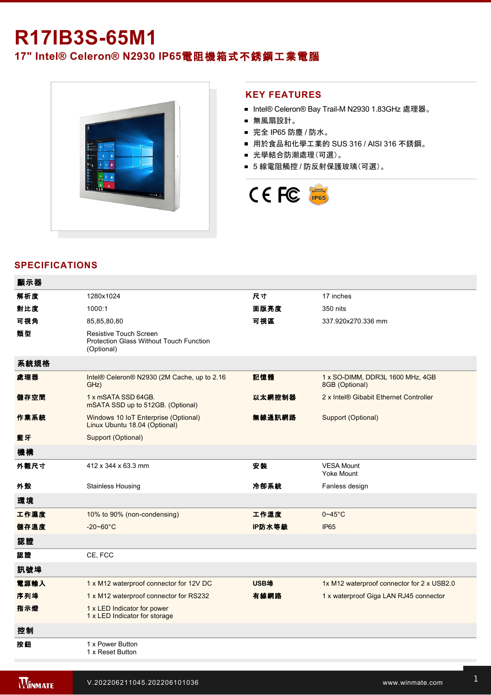# **R17IB3S-65M1**

**17" Intel® Celeron® N2930 IP65**電阻機箱式不銹鋼工業電腦



#### **KEY FEATURES**

- Intel® Celeron® Bay Trail-M N2930 1.83GHz 處理器。
- 無風扇設計。
- 完全 IP65 防塵 / 防水。
- 用於食品和化學工業的 SUS 316 / AISI 316 不銹鋼。
- 光學結合防潮處理(可選)。
- 5 線電阻觸控 / 防反射保護玻璃(可選)。



# **SPECIFICATIONS**

| 顯示器  |                                                                                 |             |                                                    |
|------|---------------------------------------------------------------------------------|-------------|----------------------------------------------------|
| 解析度  | 1280x1024                                                                       | 尺寸          | 17 inches                                          |
| 對比度  | 1000:1                                                                          | 面版亮度        | 350 nits                                           |
| 可視角  | 85,85,80,80                                                                     | 可視區         | 337.920x270.336 mm                                 |
| 類型   | Resistive Touch Screen<br>Protection Glass Without Touch Function<br>(Optional) |             |                                                    |
| 系統規格 |                                                                                 |             |                                                    |
| 處理器  | Intel® Celeron® N2930 (2M Cache, up to 2.16<br>GHz)                             | 記憶體         | 1 x SO-DIMM, DDR3L 1600 MHz, 4GB<br>8GB (Optional) |
| 儲存空間 | 1 x mSATA SSD 64GB.<br>mSATA SSD up to 512GB. (Optional)                        | 以太網控制器      | 2 x Intel® Gibabit Ethernet Controller             |
| 作業系統 | Windows 10 IoT Enterprise (Optional)<br>Linux Ubuntu 18.04 (Optional)           | 無線通訊網路      | Support (Optional)                                 |
| 藍牙   | Support (Optional)                                                              |             |                                                    |
| 機構   |                                                                                 |             |                                                    |
| 外觀尺寸 | 412 x 344 x 63.3 mm                                                             | 安装          | <b>VESA Mount</b><br>Yoke Mount                    |
| 外殼   | <b>Stainless Housing</b>                                                        | 冷卻系統        | Fanless design                                     |
| 環境   |                                                                                 |             |                                                    |
| 工作濕度 | 10% to 90% (non-condensing)                                                     | 工作溫度        | $0 - 45$ °C                                        |
| 儲存溫度 | $-20 - 60^{\circ}$ C                                                            | IP防水等級      | <b>IP65</b>                                        |
| 認證   |                                                                                 |             |                                                    |
| 認證   | CE, FCC                                                                         |             |                                                    |
| 訊號埠  |                                                                                 |             |                                                    |
| 電源輸入 | 1 x M12 waterproof connector for 12V DC                                         | <b>USB埠</b> | 1x M12 waterproof connector for 2 x USB2.0         |
| 序列埠  | 1 x M12 waterproof connector for RS232                                          | 有線網路        | 1 x waterproof Giga LAN RJ45 connector             |
| 指示燈  | 1 x LED Indicator for power<br>1 x LED Indicator for storage                    |             |                                                    |
| 控制   |                                                                                 |             |                                                    |
| 按鈕   | 1 x Power Button<br>1 x Reset Button                                            |             |                                                    |

Power Cord